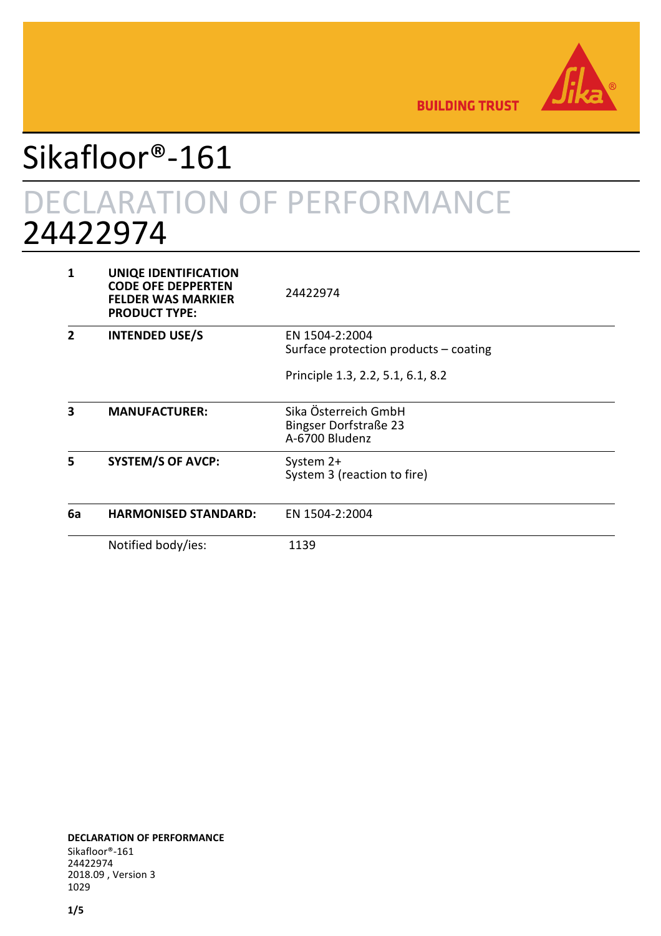

**BUILDING TRUST** 

# Sikafloor®-161

# DECLARATION OF PERFORMANCE 24422974

| 1  | <b>UNIQE IDENTIFICATION</b><br><b>CODE OFE DEPPERTEN</b><br><b>FELDER WAS MARKIER</b><br><b>PRODUCT TYPE:</b> | 24422974                                                        |
|----|---------------------------------------------------------------------------------------------------------------|-----------------------------------------------------------------|
| 7  | <b>INTENDED USE/S</b>                                                                                         | EN 1504-2:2004<br>Surface protection products $-$ coating       |
|    |                                                                                                               | Principle 1.3, 2.2, 5.1, 6.1, 8.2                               |
| 3  | <b>MANUFACTURER:</b>                                                                                          | Sika Österreich GmbH<br>Bingser Dorfstraße 23<br>A-6700 Bludenz |
| 5  | <b>SYSTEM/S OF AVCP:</b>                                                                                      | System 2+<br>System 3 (reaction to fire)                        |
| 6a | <b>HARMONISED STANDARD:</b>                                                                                   | EN 1504-2:2004                                                  |
|    | Notified body/ies:                                                                                            | 1139                                                            |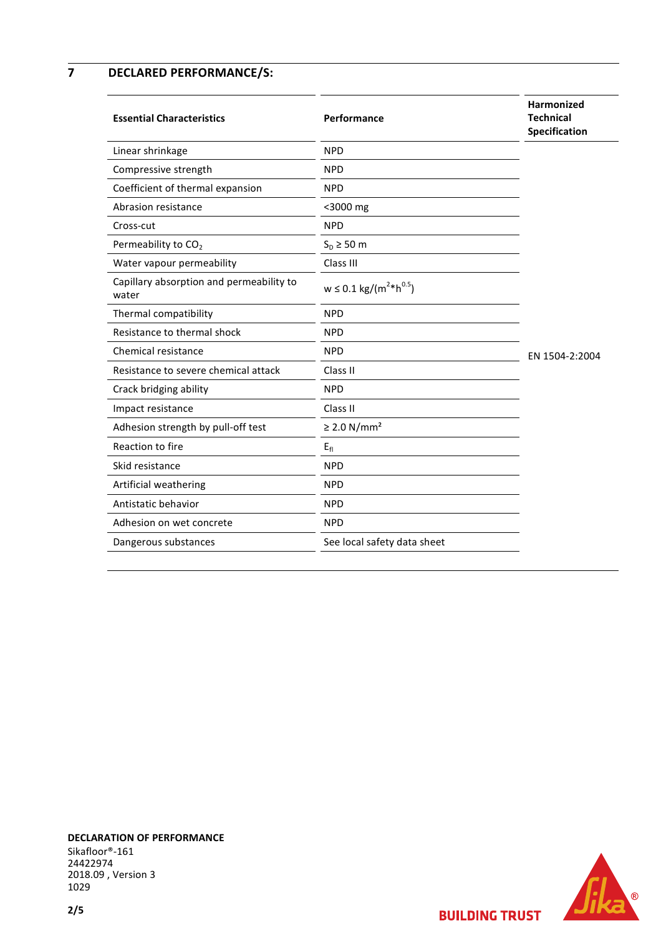## **7 DECLARED PERFORMANCE/S:**

| <b>Essential Characteristics</b>                  | Performance                              | Harmonized<br><b>Technical</b><br>Specification |
|---------------------------------------------------|------------------------------------------|-------------------------------------------------|
| Linear shrinkage                                  | <b>NPD</b>                               |                                                 |
| Compressive strength                              | <b>NPD</b>                               |                                                 |
| Coefficient of thermal expansion                  | <b>NPD</b>                               |                                                 |
| Abrasion resistance                               | <3000 mg                                 |                                                 |
| Cross-cut                                         | <b>NPD</b>                               |                                                 |
| Permeability to CO <sub>2</sub>                   | $S_D \geq 50$ m                          |                                                 |
| Water vapour permeability                         | Class III                                |                                                 |
| Capillary absorption and permeability to<br>water | $w \le 0.1 \text{ kg/(m}^{2} * h^{0.5})$ |                                                 |
| Thermal compatibility                             | <b>NPD</b>                               |                                                 |
| Resistance to thermal shock                       | <b>NPD</b>                               |                                                 |
| Chemical resistance                               | <b>NPD</b>                               | EN 1504-2:2004                                  |
| Resistance to severe chemical attack              | Class II                                 |                                                 |
| Crack bridging ability                            | <b>NPD</b>                               |                                                 |
| Impact resistance                                 | Class II                                 |                                                 |
| Adhesion strength by pull-off test                | $\geq$ 2.0 N/mm <sup>2</sup>             |                                                 |
| Reaction to fire                                  | $E_{fl}$                                 |                                                 |
| Skid resistance                                   | <b>NPD</b>                               |                                                 |
| Artificial weathering                             | <b>NPD</b>                               |                                                 |
| Antistatic behavior                               | <b>NPD</b>                               |                                                 |
| Adhesion on wet concrete                          | <b>NPD</b>                               |                                                 |
| Dangerous substances                              | See local safety data sheet              |                                                 |

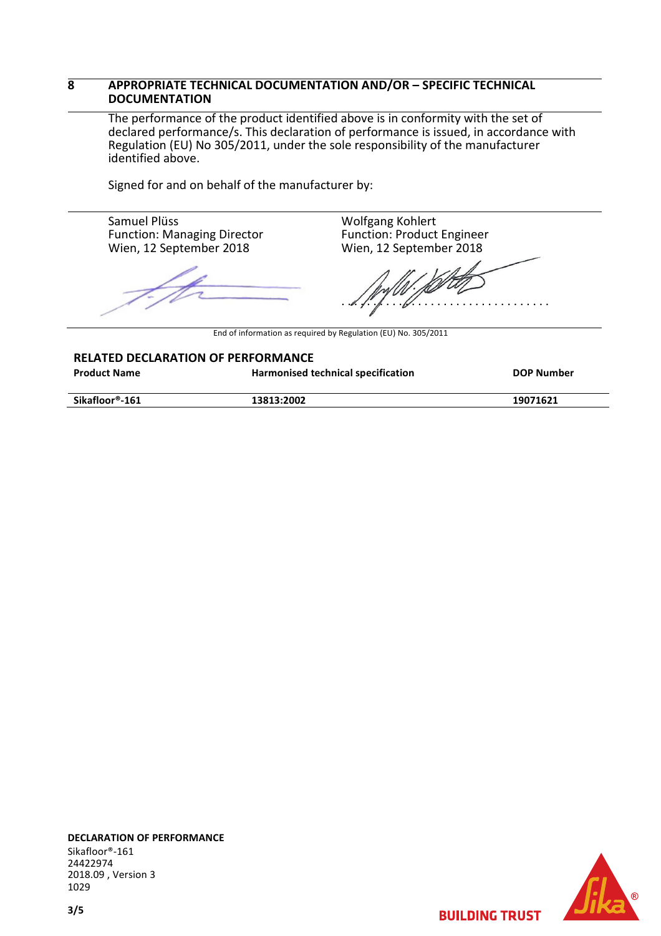#### **8 APPROPRIATE TECHNICAL DOCUMENTATION AND/OR – SPECIFIC TECHNICAL DOCUMENTATION**

The performance of the product identified above is in conformity with the set of declared performance/s. This declaration of performance is issued, in accordance with Regulation (EU) No 305/2011, under the sole responsibility of the manufacturer identified above.

Signed for and on behalf of the manufacturer by:

Samuel Plüss Function: Managing Director Wien, 12 September 2018

 $\sqrt{\frac{1}{1-\rho^2}}$ 

Wolfgang Kohlert Function: Product Engineer Wien, 12 September 2018

. . . . . . . . . . . . . . . . . . . . . . . . . . . . . . . . .

End of information as required by Regulation (EU) No. 305/2011

|                     | <b>RELATED DECLARATION OF PERFORMANCE</b> |            |  |  |  |
|---------------------|-------------------------------------------|------------|--|--|--|
| <b>Product Name</b> | Harmonised technical specification        | DOP Number |  |  |  |
| Sikafloor®-161      | 13813:2002                                | 19071621   |  |  |  |



**BUILDING TRUST**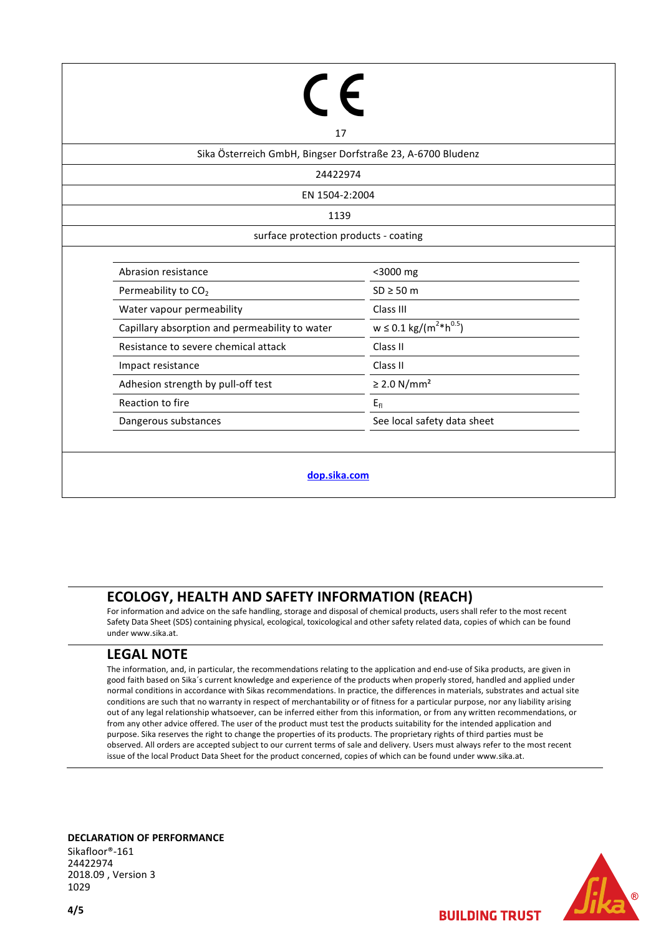| 17                                                          |                                                |  |  |  |  |
|-------------------------------------------------------------|------------------------------------------------|--|--|--|--|
| Sika Österreich GmbH, Bingser Dorfstraße 23, A-6700 Bludenz |                                                |  |  |  |  |
| 24422974                                                    |                                                |  |  |  |  |
| EN 1504-2:2004                                              |                                                |  |  |  |  |
| 1139                                                        |                                                |  |  |  |  |
|                                                             | surface protection products - coating          |  |  |  |  |
|                                                             |                                                |  |  |  |  |
| Abrasion resistance                                         | <3000 mg                                       |  |  |  |  |
| Permeability to CO <sub>2</sub>                             | $SD \geq 50$ m                                 |  |  |  |  |
| Water vapour permeability                                   | Class III                                      |  |  |  |  |
| Capillary absorption and permeability to water              | $w \le 0.1 \text{ kg/(m}^{2*} \text{h}^{0.5})$ |  |  |  |  |
| Resistance to severe chemical attack                        | Class II                                       |  |  |  |  |
| Impact resistance                                           | Class II                                       |  |  |  |  |
| Adhesion strength by pull-off test                          | $\geq$ 2.0 N/mm <sup>2</sup>                   |  |  |  |  |
| Reaction to fire                                            | $E_{fl}$                                       |  |  |  |  |
| Dangerous substances                                        | See local safety data sheet                    |  |  |  |  |
|                                                             |                                                |  |  |  |  |
| dop.sika.com                                                |                                                |  |  |  |  |

# **ECOLOGY, HEALTH AND SAFETY INFORMATION (REACH)**

For information and advice on the safe handling, storage and disposal of chemical products, users shall refer to the most recent Safety Data Sheet (SDS) containing physical, ecological, toxicological and other safety related data, copies of which can be found under www.sika.at.

## **LEGAL NOTE**

The information, and, in particular, the recommendations relating to the application and end-use of Sika products, are given in good faith based on Sika´s current knowledge and experience of the products when properly stored, handled and applied under normal conditions in accordance with Sikas recommendations. In practice, the differences in materials, substrates and actual site conditions are such that no warranty in respect of merchantability or of fitness for a particular purpose, nor any liability arising out of any legal relationship whatsoever, can be inferred either from this information, or from any written recommendations, or from any other advice offered. The user of the product must test the products suitability for the intended application and purpose. Sika reserves the right to change the properties of its products. The proprietary rights of third parties must be observed. All orders are accepted subject to our current terms of sale and delivery. Users must always refer to the most recent issue of the local Product Data Sheet for the product concerned, copies of which can be found under www.sika.at.

**DECLARATION OF PERFORMANCE** 

Sikafloor®-161 24422974 2018.09 , Version 3 1029



**BUILDING TRUST**